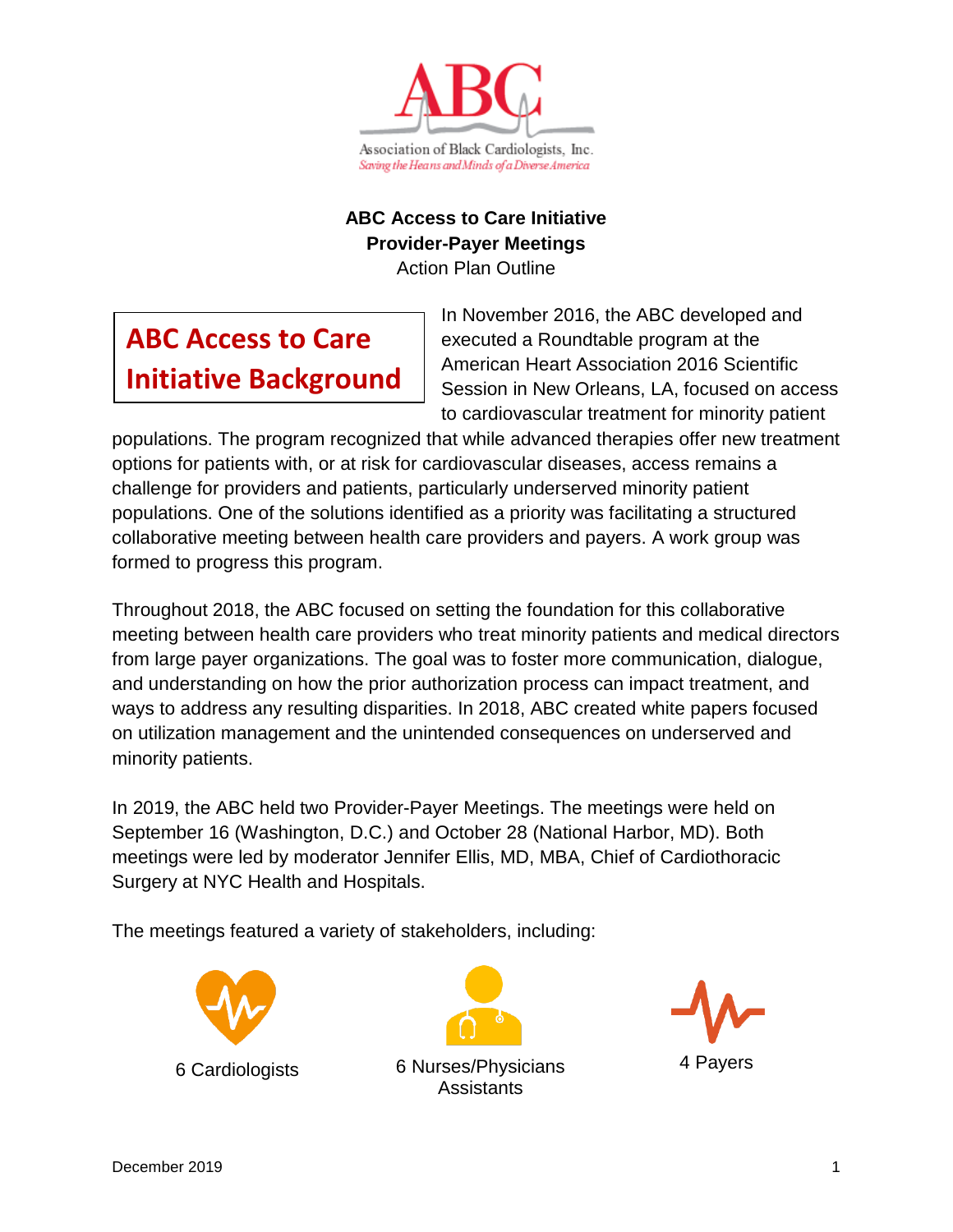

### **ABC Access to Care Initiative Provider-Payer Meetings**

Action Plan Outline

# **ABC Access to Care Initiative Background**

In November 2016, the ABC developed and executed a Roundtable program at the American Heart Association 2016 Scientific Session in New Orleans, LA, focused on access to cardiovascular treatment for minority patient

populations. The program recognized that while advanced therapies offer new treatment options for patients with, or at risk for cardiovascular diseases, access remains a challenge for providers and patients, particularly underserved minority patient populations. One of the solutions identified as a priority was facilitating a structured collaborative meeting between health care providers and payers. A work group was formed to progress this program.

Throughout 2018, the ABC focused on setting the foundation for this collaborative meeting between health care providers who treat minority patients and medical directors from large payer organizations. The goal was to foster more communication, dialogue, and understanding on how the prior authorization process can impact treatment, and ways to address any resulting disparities. In 2018, ABC created white papers focused on utilization management and the unintended consequences on underserved and minority patients.

In 2019, the ABC held two Provider-Payer Meetings. The meetings were held on September 16 (Washington, D.C.) and October 28 (National Harbor, MD). Both meetings were led by moderator Jennifer Ellis, MD, MBA, Chief of Cardiothoracic Surgery at NYC Health and Hospitals.

The meetings featured a variety of stakeholders, including:





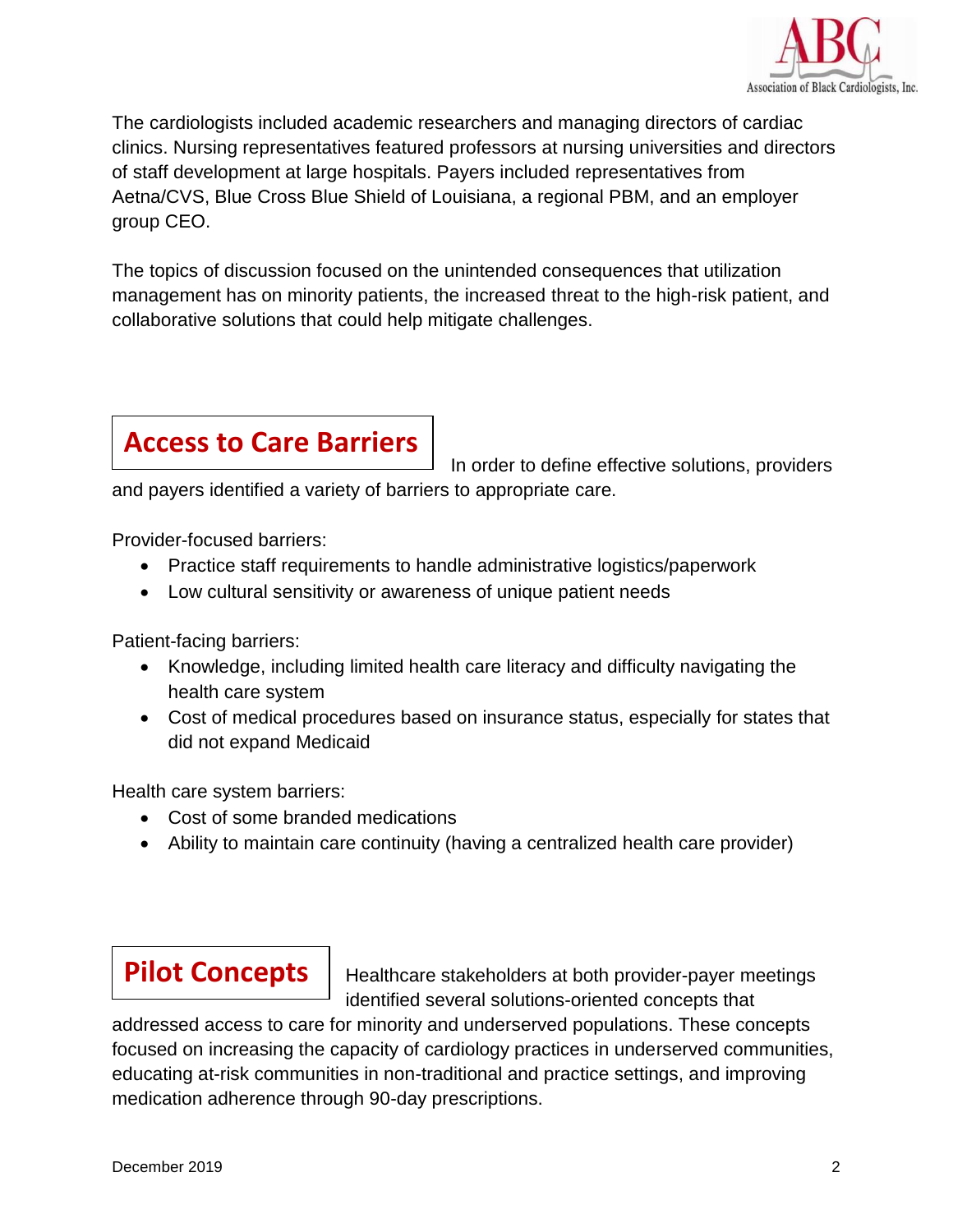

The cardiologists included academic researchers and managing directors of cardiac clinics. Nursing representatives featured professors at nursing universities and directors of staff development at large hospitals. Payers included representatives from Aetna/CVS, Blue Cross Blue Shield of Louisiana, a regional PBM, and an employer group CEO.

The topics of discussion focused on the unintended consequences that utilization management has on minority patients, the increased threat to the high-risk patient, and collaborative solutions that could help mitigate challenges.

# **Access to Care Barriers**

In order to define effective solutions, providers

and payers identified a variety of barriers to appropriate care.

Provider-focused barriers:

- Practice staff requirements to handle administrative logistics/paperwork
- Low cultural sensitivity or awareness of unique patient needs

Patient-facing barriers:

- Knowledge, including limited health care literacy and difficulty navigating the health care system
- Cost of medical procedures based on insurance status, especially for states that did not expand Medicaid

Health care system barriers:

- Cost of some branded medications
- Ability to maintain care continuity (having a centralized health care provider)

## **Pilot Concepts**

Healthcare stakeholders at both provider-payer meetings identified several solutions-oriented concepts that

addressed access to care for minority and underserved populations. These concepts focused on increasing the capacity of cardiology practices in underserved communities, educating at-risk communities in non-traditional and practice settings, and improving medication adherence through 90-day prescriptions.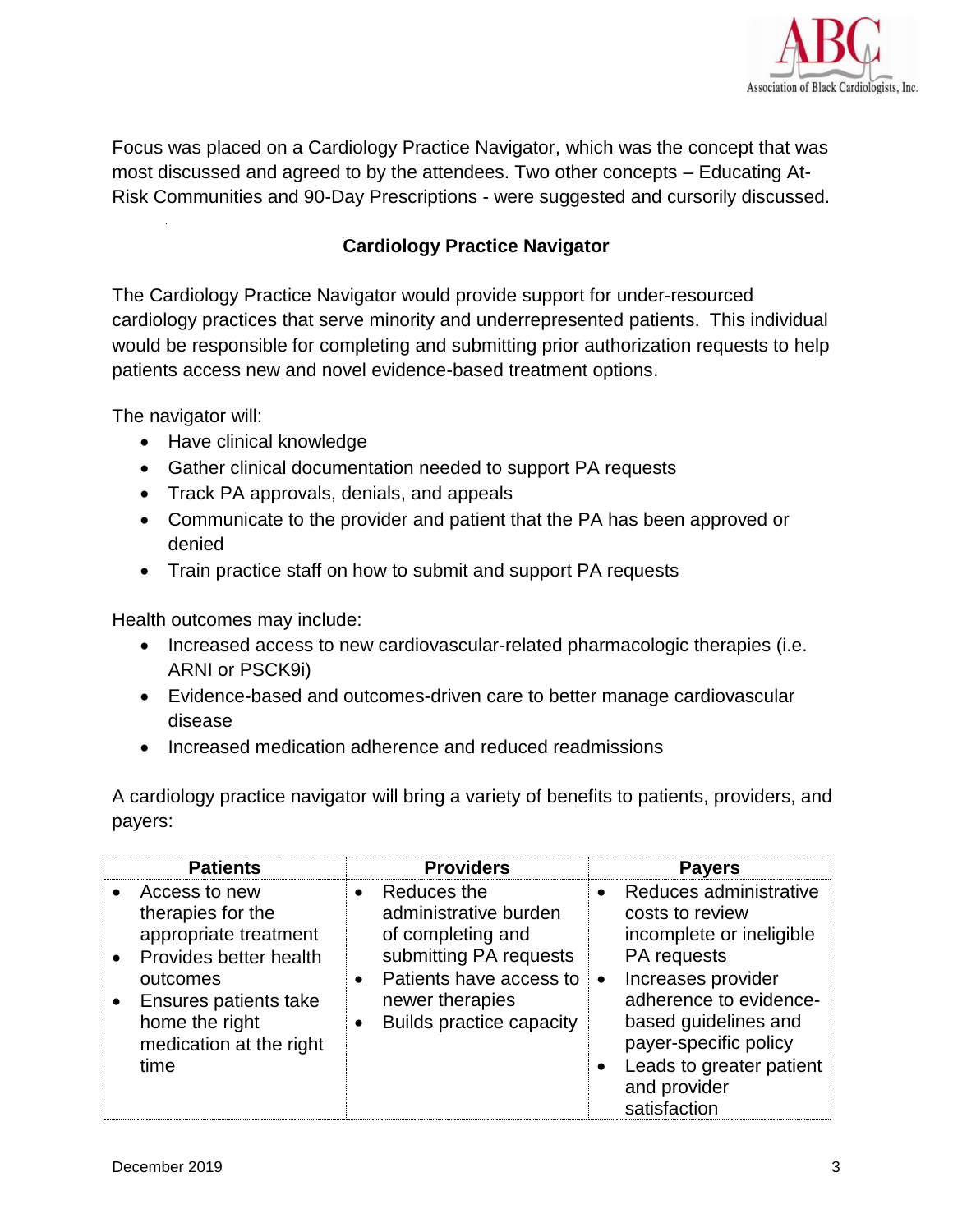

Focus was placed on a Cardiology Practice Navigator, which was the concept that was most discussed and agreed to by the attendees. Two other concepts – Educating At-Risk Communities and 90-Day Prescriptions - were suggested and cursorily discussed.

#### **Cardiology Practice Navigator**

The Cardiology Practice Navigator would provide support for under-resourced cardiology practices that serve minority and underrepresented patients. This individual would be responsible for completing and submitting prior authorization requests to help patients access new and novel evidence-based treatment options.

The navigator will:

- Have clinical knowledge
- Gather clinical documentation needed to support PA requests
- Track PA approvals, denials, and appeals
- Communicate to the provider and patient that the PA has been approved or denied
- Train practice staff on how to submit and support PA requests

Health outcomes may include:

- Increased access to new cardiovascular-related pharmacologic therapies (i.e. ARNI or PSCK9i)
- Evidence-based and outcomes-driven care to better manage cardiovascular disease
- Increased medication adherence and reduced readmissions

A cardiology practice navigator will bring a variety of benefits to patients, providers, and payers:

| <b>Patients</b>                                                                                                                                                                                                               | <b>Providers</b>                                                                                                                                                                                            | <b>Payers</b>                                                                                                                                                                                                                                                                            |
|-------------------------------------------------------------------------------------------------------------------------------------------------------------------------------------------------------------------------------|-------------------------------------------------------------------------------------------------------------------------------------------------------------------------------------------------------------|------------------------------------------------------------------------------------------------------------------------------------------------------------------------------------------------------------------------------------------------------------------------------------------|
| Access to new<br>$\bullet$<br>therapies for the<br>appropriate treatment<br><b>Provides better health</b><br>$\bullet$<br>outcomes<br>Ensures patients take<br>$\bullet$<br>home the right<br>medication at the right<br>time | Reduces the<br>$\bullet$<br>administrative burden<br>of completing and<br>submitting PA requests<br>Patients have access to<br>$\bullet$<br>newer therapies<br><b>Builds practice capacity</b><br>$\bullet$ | Reduces administrative<br>$\bullet$<br>costs to review<br>incomplete or ineligible<br>PA requests<br>Increases provider<br>$\bullet$<br>adherence to evidence-<br>based guidelines and<br>payer-specific policy<br>Leads to greater patient<br>$\bullet$<br>and provider<br>satisfaction |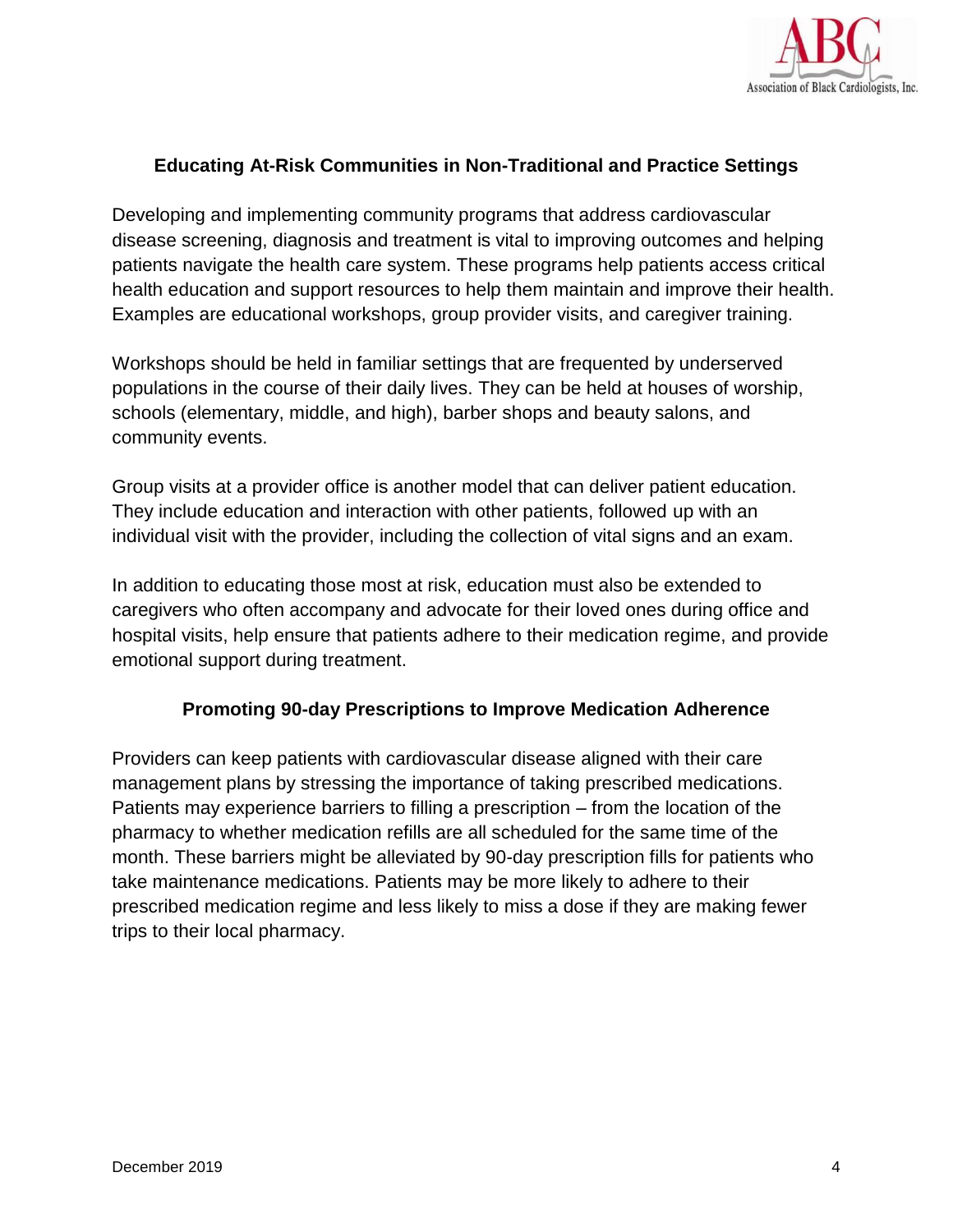

#### **Educating At-Risk Communities in Non-Traditional and Practice Settings**

Developing and implementing community programs that address cardiovascular disease screening, diagnosis and treatment is vital to improving outcomes and helping patients navigate the health care system. These programs help patients access critical health education and support resources to help them maintain and improve their health. Examples are educational workshops, group provider visits, and caregiver training.

Workshops should be held in familiar settings that are frequented by underserved populations in the course of their daily lives. They can be held at houses of worship, schools (elementary, middle, and high), barber shops and beauty salons, and community events.

Group visits at a provider office is another model that can deliver patient education. They include education and interaction with other patients, followed up with an individual visit with the provider, including the collection of vital signs and an exam.

In addition to educating those most at risk, education must also be extended to caregivers who often accompany and advocate for their loved ones during office and hospital visits, help ensure that patients adhere to their medication regime, and provide emotional support during treatment.

#### **Promoting 90-day Prescriptions to Improve Medication Adherence**

Providers can keep patients with cardiovascular disease aligned with their care management plans by stressing the importance of taking prescribed medications. Patients may experience barriers to filling a prescription – from the location of the pharmacy to whether medication refills are all scheduled for the same time of the month. These barriers might be alleviated by 90-day prescription fills for patients who take maintenance medications. Patients may be more likely to adhere to their prescribed medication regime and less likely to miss a dose if they are making fewer trips to their local pharmacy.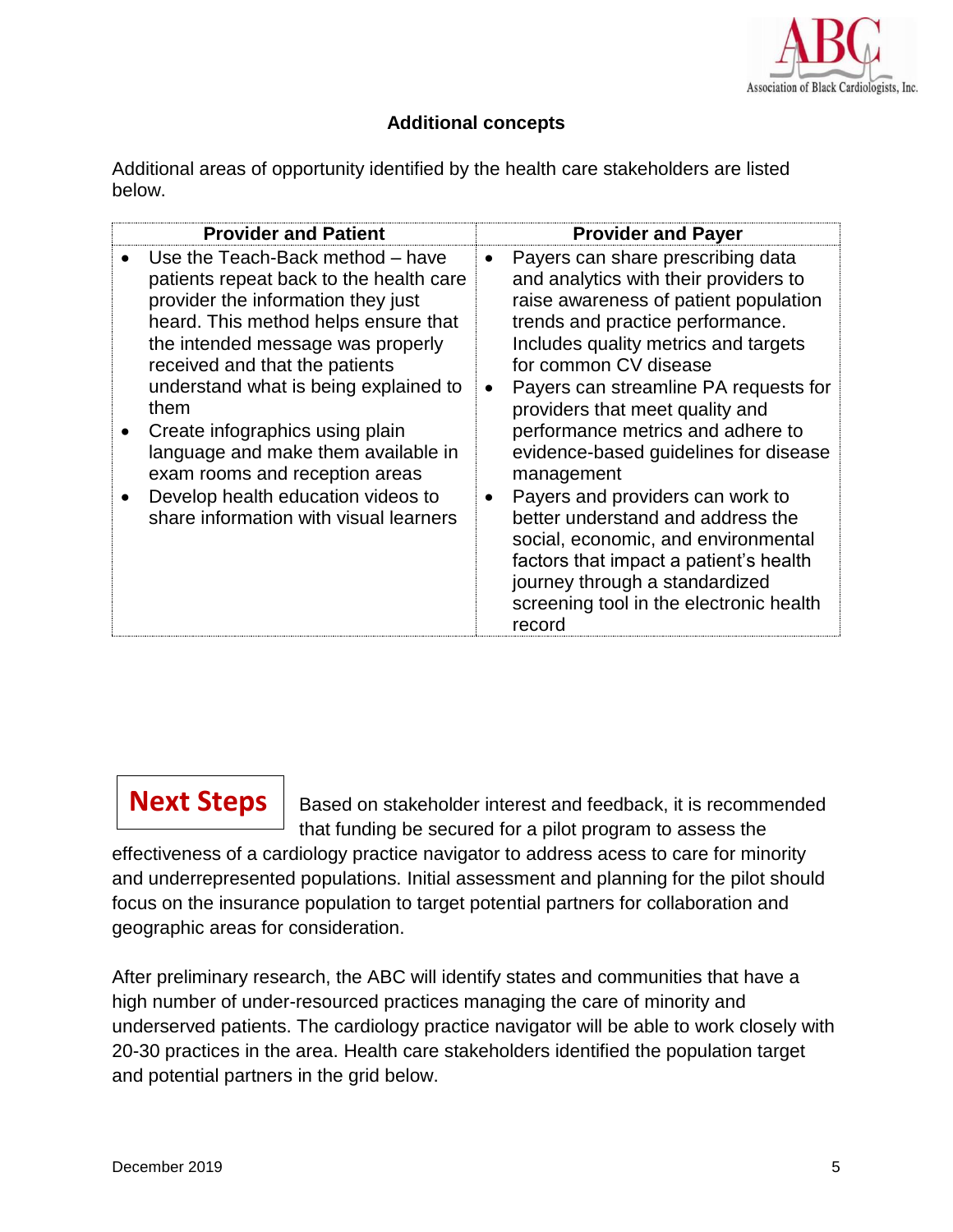

#### **Additional concepts**

Additional areas of opportunity identified by the health care stakeholders are listed below.

| <b>Provider and Patient</b>                                                                                                                                                                                                                                                                                                                                                                                                                                                   | <b>Provider and Payer</b>                                                                                                                                                                                                                                                                                                                                                                                                                                                                                                                                                                                                                                      |
|-------------------------------------------------------------------------------------------------------------------------------------------------------------------------------------------------------------------------------------------------------------------------------------------------------------------------------------------------------------------------------------------------------------------------------------------------------------------------------|----------------------------------------------------------------------------------------------------------------------------------------------------------------------------------------------------------------------------------------------------------------------------------------------------------------------------------------------------------------------------------------------------------------------------------------------------------------------------------------------------------------------------------------------------------------------------------------------------------------------------------------------------------------|
| Use the Teach-Back method - have<br>patients repeat back to the health care<br>provider the information they just<br>heard. This method helps ensure that<br>the intended message was properly<br>received and that the patients<br>understand what is being explained to<br>them<br>Create infographics using plain<br>language and make them available in<br>exam rooms and reception areas<br>Develop health education videos to<br>share information with visual learners | Payers can share prescribing data<br>$\bullet$<br>and analytics with their providers to<br>raise awareness of patient population<br>trends and practice performance.<br>Includes quality metrics and targets<br>for common CV disease<br>Payers can streamline PA requests for<br>providers that meet quality and<br>performance metrics and adhere to<br>evidence-based guidelines for disease<br>management<br>Payers and providers can work to<br>better understand and address the<br>social, economic, and environmental<br>factors that impact a patient's health<br>journey through a standardized<br>screening tool in the electronic health<br>record |

### **Next Steps**

Based on stakeholder interest and feedback, it is recommended that funding be secured for a pilot program to assess the

effectiveness of a cardiology practice navigator to address acess to care for minority and underrepresented populations. Initial assessment and planning for the pilot should focus on the insurance population to target potential partners for collaboration and geographic areas for consideration.

After preliminary research, the ABC will identify states and communities that have a high number of under-resourced practices managing the care of minority and underserved patients. The cardiology practice navigator will be able to work closely with 20-30 practices in the area. Health care stakeholders identified the population target and potential partners in the grid below.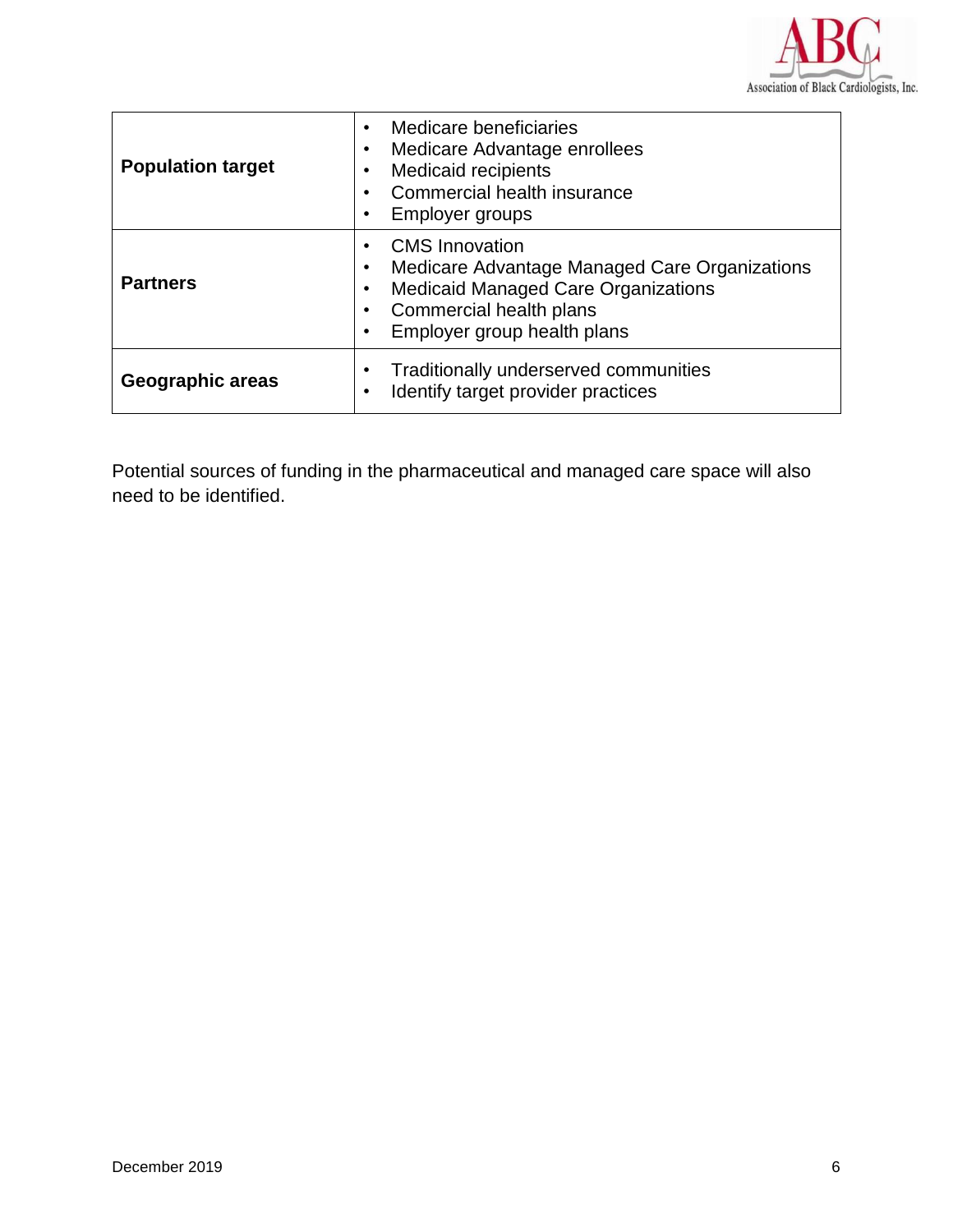

| <b>Population target</b> | Medicare beneficiaries<br>Medicare Advantage enrollees<br>٠<br><b>Medicaid recipients</b><br>Commercial health insurance<br>Employer groups<br>٠                                    |
|--------------------------|-------------------------------------------------------------------------------------------------------------------------------------------------------------------------------------|
| <b>Partners</b>          | <b>CMS</b> Innovation<br>Medicare Advantage Managed Care Organizations<br><b>Medicaid Managed Care Organizations</b><br>Commercial health plans<br>Employer group health plans<br>٠ |
| Geographic areas         | Traditionally underserved communities<br>Identify target provider practices                                                                                                         |

Potential sources of funding in the pharmaceutical and managed care space will also need to be identified.